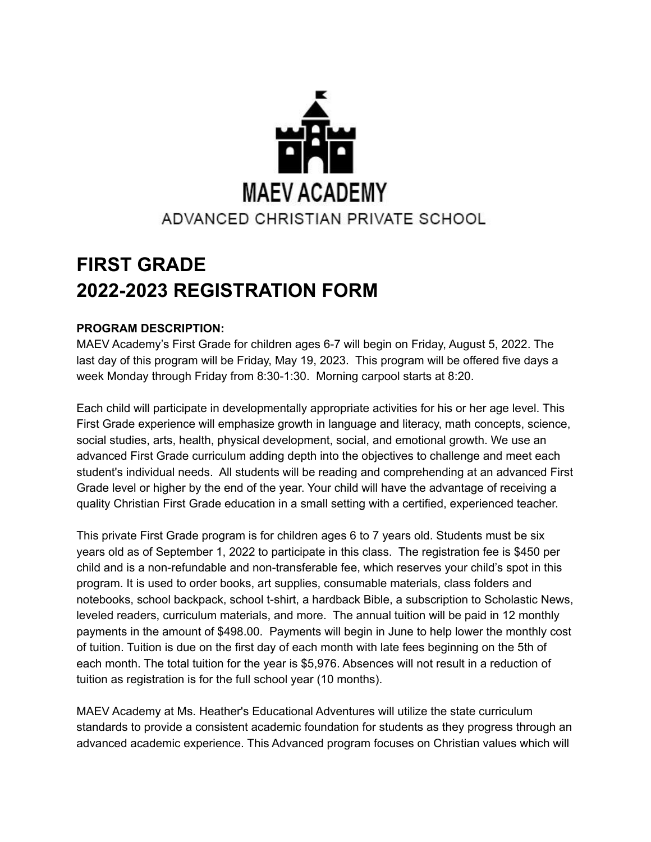

# **FIRST GRADE 2022-2023 REGISTRATION FORM**

# **PROGRAM DESCRIPTION:**

MAEV Academy's First Grade for children ages 6-7 will begin on Friday, August 5, 2022. The last day of this program will be Friday, May 19, 2023. This program will be offered five days a week Monday through Friday from 8:30-1:30. Morning carpool starts at 8:20.

Each child will participate in developmentally appropriate activities for his or her age level. This First Grade experience will emphasize growth in language and literacy, math concepts, science, social studies, arts, health, physical development, social, and emotional growth. We use an advanced First Grade curriculum adding depth into the objectives to challenge and meet each student's individual needs. All students will be reading and comprehending at an advanced First Grade level or higher by the end of the year. Your child will have the advantage of receiving a quality Christian First Grade education in a small setting with a certified, experienced teacher.

This private First Grade program is for children ages 6 to 7 years old. Students must be six years old as of September 1, 2022 to participate in this class. The registration fee is \$450 per child and is a non-refundable and non-transferable fee, which reserves your child's spot in this program. It is used to order books, art supplies, consumable materials, class folders and notebooks, school backpack, school t-shirt, a hardback Bible, a subscription to Scholastic News, leveled readers, curriculum materials, and more. The annual tuition will be paid in 12 monthly payments in the amount of \$498.00. Payments will begin in June to help lower the monthly cost of tuition. Tuition is due on the first day of each month with late fees beginning on the 5th of each month. The total tuition for the year is \$5,976. Absences will not result in a reduction of tuition as registration is for the full school year (10 months).

MAEV Academy at Ms. Heather's Educational Adventures will utilize the state curriculum standards to provide a consistent academic foundation for students as they progress through an advanced academic experience. This Advanced program focuses on Christian values which will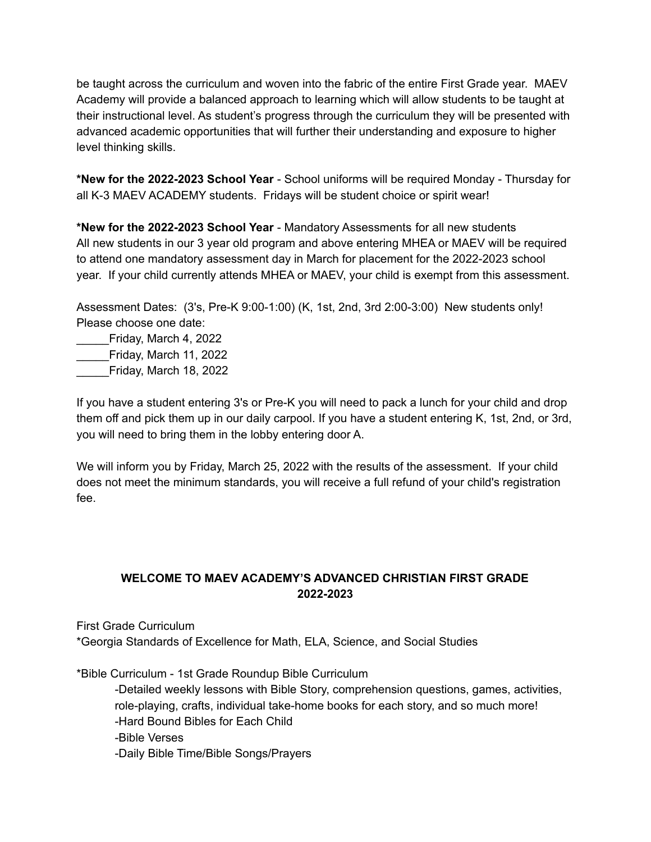be taught across the curriculum and woven into the fabric of the entire First Grade year. MAEV Academy will provide a balanced approach to learning which will allow students to be taught at their instructional level. As student's progress through the curriculum they will be presented with advanced academic opportunities that will further their understanding and exposure to higher level thinking skills.

**\*New for the 2022-2023 School Year** - School uniforms will be required Monday - Thursday for all K-3 MAEV ACADEMY students. Fridays will be student choice or spirit wear!

**\*New for the 2022-2023 School Year** - Mandatory Assessments for all new students All new students in our 3 year old program and above entering MHEA or MAEV will be required to attend one mandatory assessment day in March for placement for the 2022-2023 school year. If your child currently attends MHEA or MAEV, your child is exempt from this assessment.

Assessment Dates: (3's, Pre-K 9:00-1:00) (K, 1st, 2nd, 3rd 2:00-3:00) New students only! Please choose one date:

\_\_\_\_\_Friday, March 4, 2022 \_\_\_\_\_Friday, March 11, 2022 \_\_\_\_\_Friday, March 18, 2022

If you have a student entering 3's or Pre-K you will need to pack a lunch for your child and drop them off and pick them up in our daily carpool. If you have a student entering K, 1st, 2nd, or 3rd, you will need to bring them in the lobby entering door A.

We will inform you by Friday, March 25, 2022 with the results of the assessment. If your child does not meet the minimum standards, you will receive a full refund of your child's registration fee.

# **WELCOME TO MAEV ACADEMY'S ADVANCED CHRISTIAN FIRST GRADE 2022-2023**

First Grade Curriculum

\*Georgia Standards of Excellence for Math, ELA, Science, and Social Studies

\*Bible Curriculum - 1st Grade Roundup Bible Curriculum

-Detailed weekly lessons with Bible Story, comprehension questions, games, activities, role-playing, crafts, individual take-home books for each story, and so much more! -Hard Bound Bibles for Each Child -Bible Verses -Daily Bible Time/Bible Songs/Prayers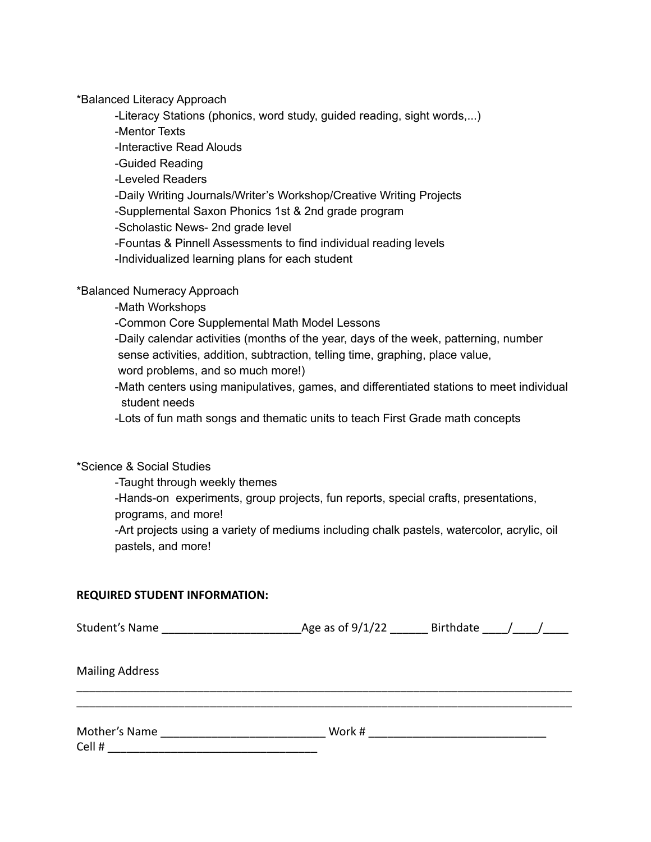\*Balanced Literacy Approach

-Literacy Stations (phonics, word study, guided reading, sight words,...)

-Mentor Texts

-Interactive Read Alouds

-Guided Reading

-Leveled Readers

-Daily Writing Journals/Writer's Workshop/Creative Writing Projects

-Supplemental Saxon Phonics 1st & 2nd grade program

-Scholastic News- 2nd grade level

-Fountas & Pinnell Assessments to find individual reading levels

-Individualized learning plans for each student

## \*Balanced Numeracy Approach

-Math Workshops

-Common Core Supplemental Math Model Lessons

-Daily calendar activities (months of the year, days of the week, patterning, number

sense activities, addition, subtraction, telling time, graphing, place value,

word problems, and so much more!)

-Math centers using manipulatives, games, and differentiated stations to meet individual student needs

-Lots of fun math songs and thematic units to teach First Grade math concepts

\*Science & Social Studies

-Taught through weekly themes

-Hands-on experiments, group projects, fun reports, special crafts, presentations, programs, and more!

-Art projects using a variety of mediums including chalk pastels, watercolor, acrylic, oil pastels, and more!

#### **REQUIRED STUDENT INFORMATION:**

| Student's Name and the student's Name | Age as of 9/1/22 Birthdate |  |
|---------------------------------------|----------------------------|--|
| <b>Mailing Address</b>                |                            |  |
|                                       |                            |  |
| Mother's Name                         | Work #                     |  |
| Cell #                                |                            |  |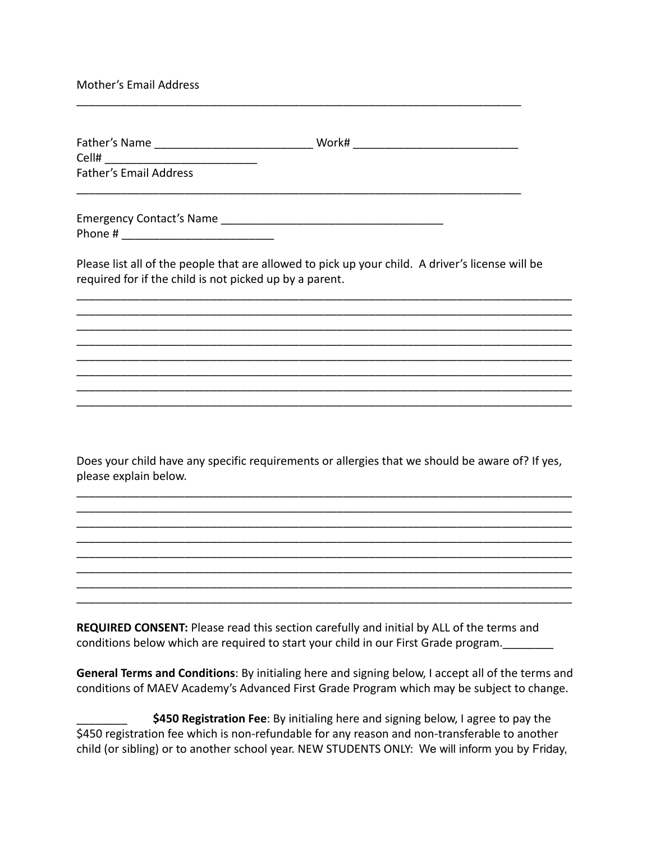### Mother's Email Address

| Father's Name                 | Work# |  |
|-------------------------------|-------|--|
| Cell#                         |       |  |
| <b>Father's Email Address</b> |       |  |

\_\_\_\_\_\_\_\_\_\_\_\_\_\_\_\_\_\_\_\_\_\_\_\_\_\_\_\_\_\_\_\_\_\_\_\_\_\_\_\_\_\_\_\_\_\_\_\_\_\_\_\_\_\_\_\_\_\_\_\_\_\_\_\_\_\_\_\_\_\_

Emergency Contact's Name \_\_\_\_\_\_\_\_\_\_\_\_\_\_\_\_\_\_\_\_\_\_\_\_\_\_\_\_\_\_\_\_\_\_\_ Phone #

Please list all of the people that are allowed to pick up your child. A driver's license will be required for if the child is not picked up by a parent.

\_\_\_\_\_\_\_\_\_\_\_\_\_\_\_\_\_\_\_\_\_\_\_\_\_\_\_\_\_\_\_\_\_\_\_\_\_\_\_\_\_\_\_\_\_\_\_\_\_\_\_\_\_\_\_\_\_\_\_\_\_\_\_\_\_\_\_\_\_\_\_\_\_\_\_\_\_\_ \_\_\_\_\_\_\_\_\_\_\_\_\_\_\_\_\_\_\_\_\_\_\_\_\_\_\_\_\_\_\_\_\_\_\_\_\_\_\_\_\_\_\_\_\_\_\_\_\_\_\_\_\_\_\_\_\_\_\_\_\_\_\_\_\_\_\_\_\_\_\_\_\_\_\_\_\_\_ \_\_\_\_\_\_\_\_\_\_\_\_\_\_\_\_\_\_\_\_\_\_\_\_\_\_\_\_\_\_\_\_\_\_\_\_\_\_\_\_\_\_\_\_\_\_\_\_\_\_\_\_\_\_\_\_\_\_\_\_\_\_\_\_\_\_\_\_\_\_\_\_\_\_\_\_\_\_ \_\_\_\_\_\_\_\_\_\_\_\_\_\_\_\_\_\_\_\_\_\_\_\_\_\_\_\_\_\_\_\_\_\_\_\_\_\_\_\_\_\_\_\_\_\_\_\_\_\_\_\_\_\_\_\_\_\_\_\_\_\_\_\_\_\_\_\_\_\_\_\_\_\_\_\_\_\_ \_\_\_\_\_\_\_\_\_\_\_\_\_\_\_\_\_\_\_\_\_\_\_\_\_\_\_\_\_\_\_\_\_\_\_\_\_\_\_\_\_\_\_\_\_\_\_\_\_\_\_\_\_\_\_\_\_\_\_\_\_\_\_\_\_\_\_\_\_\_\_\_\_\_\_\_\_\_ \_\_\_\_\_\_\_\_\_\_\_\_\_\_\_\_\_\_\_\_\_\_\_\_\_\_\_\_\_\_\_\_\_\_\_\_\_\_\_\_\_\_\_\_\_\_\_\_\_\_\_\_\_\_\_\_\_\_\_\_\_\_\_\_\_\_\_\_\_\_\_\_\_\_\_\_\_\_ \_\_\_\_\_\_\_\_\_\_\_\_\_\_\_\_\_\_\_\_\_\_\_\_\_\_\_\_\_\_\_\_\_\_\_\_\_\_\_\_\_\_\_\_\_\_\_\_\_\_\_\_\_\_\_\_\_\_\_\_\_\_\_\_\_\_\_\_\_\_\_\_\_\_\_\_\_\_ \_\_\_\_\_\_\_\_\_\_\_\_\_\_\_\_\_\_\_\_\_\_\_\_\_\_\_\_\_\_\_\_\_\_\_\_\_\_\_\_\_\_\_\_\_\_\_\_\_\_\_\_\_\_\_\_\_\_\_\_\_\_\_\_\_\_\_\_\_\_\_\_\_\_\_\_\_\_

Does your child have any specific requirements or allergies that we should be aware of? If yes, please explain below.

\_\_\_\_\_\_\_\_\_\_\_\_\_\_\_\_\_\_\_\_\_\_\_\_\_\_\_\_\_\_\_\_\_\_\_\_\_\_\_\_\_\_\_\_\_\_\_\_\_\_\_\_\_\_\_\_\_\_\_\_\_\_\_\_\_\_\_\_\_\_\_\_\_\_\_\_\_\_ \_\_\_\_\_\_\_\_\_\_\_\_\_\_\_\_\_\_\_\_\_\_\_\_\_\_\_\_\_\_\_\_\_\_\_\_\_\_\_\_\_\_\_\_\_\_\_\_\_\_\_\_\_\_\_\_\_\_\_\_\_\_\_\_\_\_\_\_\_\_\_\_\_\_\_\_\_\_ \_\_\_\_\_\_\_\_\_\_\_\_\_\_\_\_\_\_\_\_\_\_\_\_\_\_\_\_\_\_\_\_\_\_\_\_\_\_\_\_\_\_\_\_\_\_\_\_\_\_\_\_\_\_\_\_\_\_\_\_\_\_\_\_\_\_\_\_\_\_\_\_\_\_\_\_\_\_ \_\_\_\_\_\_\_\_\_\_\_\_\_\_\_\_\_\_\_\_\_\_\_\_\_\_\_\_\_\_\_\_\_\_\_\_\_\_\_\_\_\_\_\_\_\_\_\_\_\_\_\_\_\_\_\_\_\_\_\_\_\_\_\_\_\_\_\_\_\_\_\_\_\_\_\_\_\_ \_\_\_\_\_\_\_\_\_\_\_\_\_\_\_\_\_\_\_\_\_\_\_\_\_\_\_\_\_\_\_\_\_\_\_\_\_\_\_\_\_\_\_\_\_\_\_\_\_\_\_\_\_\_\_\_\_\_\_\_\_\_\_\_\_\_\_\_\_\_\_\_\_\_\_\_\_\_ \_\_\_\_\_\_\_\_\_\_\_\_\_\_\_\_\_\_\_\_\_\_\_\_\_\_\_\_\_\_\_\_\_\_\_\_\_\_\_\_\_\_\_\_\_\_\_\_\_\_\_\_\_\_\_\_\_\_\_\_\_\_\_\_\_\_\_\_\_\_\_\_\_\_\_\_\_\_ \_\_\_\_\_\_\_\_\_\_\_\_\_\_\_\_\_\_\_\_\_\_\_\_\_\_\_\_\_\_\_\_\_\_\_\_\_\_\_\_\_\_\_\_\_\_\_\_\_\_\_\_\_\_\_\_\_\_\_\_\_\_\_\_\_\_\_\_\_\_\_\_\_\_\_\_\_\_ \_\_\_\_\_\_\_\_\_\_\_\_\_\_\_\_\_\_\_\_\_\_\_\_\_\_\_\_\_\_\_\_\_\_\_\_\_\_\_\_\_\_\_\_\_\_\_\_\_\_\_\_\_\_\_\_\_\_\_\_\_\_\_\_\_\_\_\_\_\_\_\_\_\_\_\_\_\_

**REQUIRED CONSENT:** Please read this section carefully and initial by ALL of the terms and conditions below which are required to start your child in our First Grade program.

**General Terms and Conditions**: By initialing here and signing below, I accept all of the terms and conditions of MAEV Academy's Advanced First Grade Program which may be subject to change.

\$450 Registration Fee: By initialing here and signing below, I agree to pay the \$450 registration fee which is non-refundable for any reason and non-transferable to another child (or sibling) or to another school year. NEW STUDENTS ONLY: We will inform you by Friday,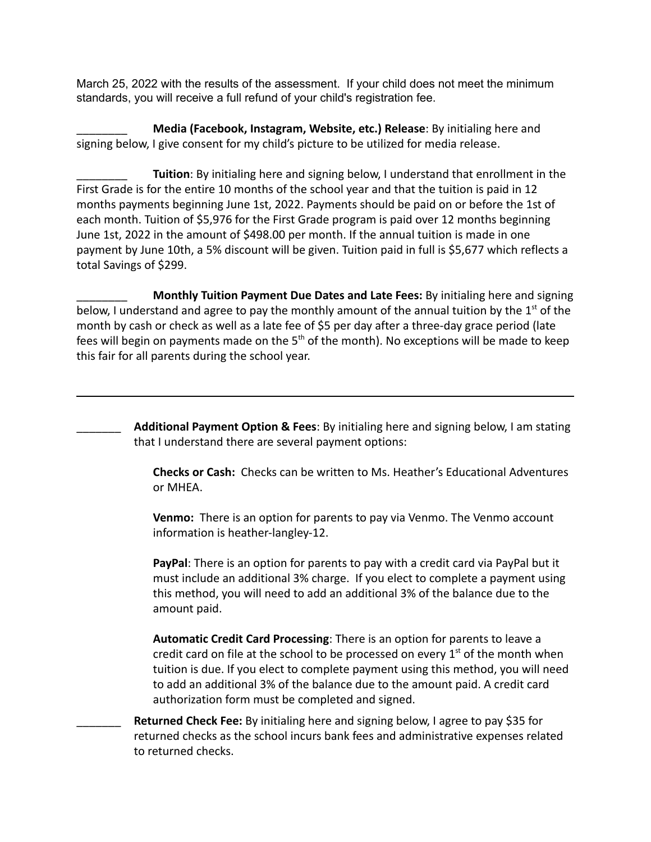March 25, 2022 with the results of the assessment. If your child does not meet the minimum standards, you will receive a full refund of your child's registration fee.

\_\_\_\_\_\_\_\_ **Media (Facebook, Instagram, Website, etc.) Release**: By initialing here and signing below, I give consent for my child's picture to be utilized for media release.

\_\_\_\_\_\_\_\_ **Tuition**: By initialing here and signing below, I understand that enrollment in the First Grade is for the entire 10 months of the school year and that the tuition is paid in 12 months payments beginning June 1st, 2022. Payments should be paid on or before the 1st of each month. Tuition of \$5,976 for the First Grade program is paid over 12 months beginning June 1st, 2022 in the amount of \$498.00 per month. If the annual tuition is made in one payment by June 10th, a 5% discount will be given. Tuition paid in full is \$5,677 which reflects a total Savings of \$299.

\_\_\_\_\_\_\_\_ **Monthly Tuition Payment Due Dates and Late Fees:** By initialing here and signing below, I understand and agree to pay the monthly amount of the annual tuition by the  $1<sup>st</sup>$  of the month by cash or check as well as a late fee of \$5 per day after a three-day grace period (late fees will begin on payments made on the  $5<sup>th</sup>$  of the month). No exceptions will be made to keep this fair for all parents during the school year.

> \_\_\_\_\_\_\_ **Additional Payment Option & Fees**: By initialing here and signing below, I am stating that I understand there are several payment options:

**Checks or Cash:** Checks can be written to Ms. Heather's Educational Adventures or MHEA.

**Venmo:** There is an option for parents to pay via Venmo. The Venmo account information is heather-langley-12.

**PayPal**: There is an option for parents to pay with a credit card via PayPal but it must include an additional 3% charge. If you elect to complete a payment using this method, you will need to add an additional 3% of the balance due to the amount paid.

**Automatic Credit Card Processing**: There is an option for parents to leave a credit card on file at the school to be processed on every  $1<sup>st</sup>$  of the month when tuition is due. If you elect to complete payment using this method, you will need to add an additional 3% of the balance due to the amount paid. A credit card authorization form must be completed and signed.

\_\_\_\_\_\_\_ **Returned Check Fee:** By initialing here and signing below, I agree to pay \$35 for returned checks as the school incurs bank fees and administrative expenses related to returned checks.